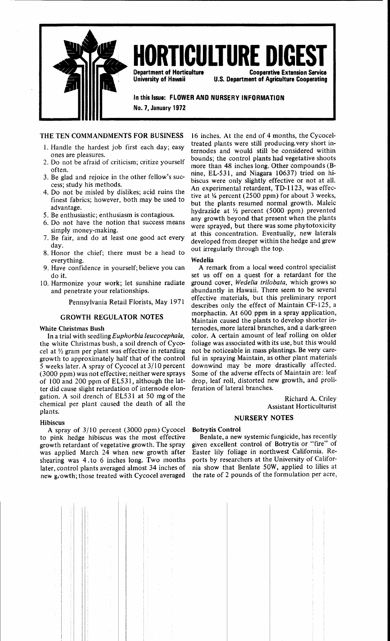

# **URTICULTURE DI**

Department of Horticulture University of Hawaii

Cooperative Extension Service U.S. Department of Agriculture Cooperating

In this Issue: FLOWER AND NURSERY INFORMATION

No.7, January 1972

# THE TEN COMMANDMENTS FOR BUSINESS

- 1. Handle the hardest job first each day; easy ones are pleasures.
- 2. Do not be afraid of criticism; critize yourself often.
- 3. Be glad and rejoice in the other fellow's success; study his methods.
- 4. Do not be misled by dislikes; acid ruins the finest fabrics; however, both may be used to advantage.
- 5. Be enthusiastic; enthusiasm is contagious.
- 6. Do not have the notion that success means
- simply money-making. 7. Be fair, and do at least one good act every day.
- 8. Honor the chief; there must be a head to everything.
- 9. Have confidence in yourself; believe you can do it.
- 10. Harmonize your work; let sunshine radiate and penetrate your relationships.

Pennsylvania Retail Florists, May 1971

# GROWTH REGULATOR NOTES

# White Christmas Bush

In a trial with seedling *Euphorbia leucocephala,*  the white Christmas bush, a soil drench of Cycocel at *Y2* gram per plant was effective in retarding growth to approximately half that of the control 5 weeks later. A spray of Cycocel at 3/ I 0 percent (3000 ppm) was not effective; neither were sprays of 100 and 200 ppm of EL5 31, although the latter did cause slight retardation of internode elongation. A soil drench of EL531 at 50 mg of the chemical per plant caused the death of all the plants.

# Hibiscus

A spray of 3/10 percent (3000 ppm) Cycocel to pink hedge hibiscus was the most effective growth retardant of vegetative growth. The spray was applied March 24 when new growth after shearing was 4. to 6 inches long. Two months later, control plants averaged almost 34 inches of new growth; those treated with Cycocel averaged

16 inches. At the end of 4 months, the Cycoceltreated plants were still producing. very short internodes and would still be considered within bounds; the control plants had vegetative shoots more than 48 inches long. Other compounds (Bnine, EL-531, and Niagara 10637) tried on hibiscus were only slightly effective or not at all. An experimental retardent, TD-l 123, was effective at  $\frac{1}{4}$  percent (2500 ppm) for about 3 weeks, but the plants resumed normal growth. Maleic hydrazide at *Y2* percent (5000 ppm) prevented any growth beyond that present when the plants were sprayed, but there was some phytotoxicity at this concentration. Eventually, new laterals developed from deeper within the hedge and grew out irregularly through the top.

# Wedelia

A remark from a local weed control specialist set us off on a quest for a retardant for the ground cover, Wedelia trilobata, which grows so abundantly in Hawaii. There seem to be several effective materials, but this preliminary report describes only the effect of Maintain CF-125, a morphactin. At 600 ppm in a spray application, Maintain caused the plants to develop shorter internodes, more lateral branches, and a dark-green color. A certain amount of leaf rolling on older foliage was associated with its use, but this would not be noticeable in mass plantings. Be very careful in spraying Maintain, as other plant materials downwind may be more drastically affected. Some of the adverse effects of Maintain are: leaf drop, leaf roll, distorted new growth, and proliferation of lateral branches.

> Richard A. Criley Assistant Horticulturist

# NURSERY NOTES

# Botrytis Control

Benlate, a new systemic fungicide, has recently given excellent control of Botrytis or "fire" of Easter lily foliage in northwest California. Reports by researchers at the University of California show that Benlate SOW, applied to lilies at the rate of 2 pounds of the formulation per acre,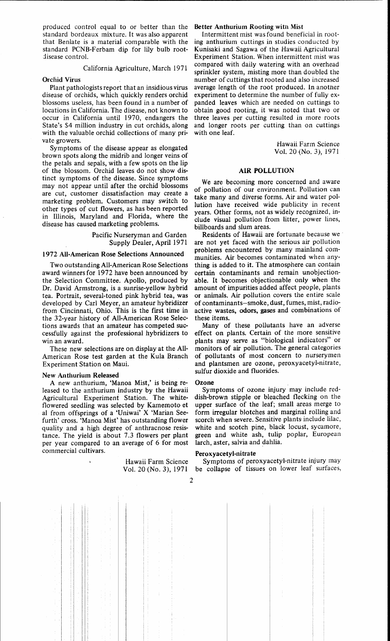produced control equal to or better than the standard bordeaux mixture. It was also apparent that Benlate is a material comparable with the standard PCNB-Ferbam dip for lily bulb rootdisease control.

# California Agriculture, March 1971

# Orchid Virus

Plant pathologists report that an insidious virus disease of orchids, which quickly renders orchid blossoms useless, has been found in a number of locations in California. The disease, not known to occur in California until 1970, endangers the State's \$4 million industry in cut orchids, along with the valuable orchid collections of many private growers.

Symptoms of the disease appear as elongated brown spots along the midrib and longer veins of the petals and sepals, with a few spots on the lip of the blossom. Orchid leaves do not show distinct symptoms of the disease. Since symptoms may not appear until after the orchid blossoms are cut, customer dissatisfaction may create a marketing problem. Customers may switch to other types of cut flowers, as has been reported in Illinois, Maryland and Florida, where the disease has caused marketing problems.

> Pacific Nurseryman and Garden Supply Dealer, April 1971

## 1972 All-American Rose Selections Announced

Two outstanding All-American Rose Selections award winners for 1972 have been announced by the Selection Committee. Apollo, produced by Dr. David Armstrong, is a sunrise-yellow hybrid tea. Portrait, several-toned pink hybrid tea, was developed by Carl Meyer, an amateur hybridizer from Cincinnati, Ohio. This is the first time in the 32-year history of AU-American Rose Selections awards that an amateur has competed successfully against the professional hybridizers to win an award.

These new selections are on display at the All-American Rose test garden at the Kula Branch Experiment Station on Maui.

### New Anthurium Released

A new anthurium, 'Manoa Mist,' is being released to the anthurium industry by the Hawaii Agricultural Experiment Station. The whiteflowered seedling was selected by Kamemoto et al from offsprings of a 'Uniwai' X 'Marian Seefurth' cross. 'Manoa Mist' has outstanding flower quality and a high degree of anthracnose resistance. The yield is about 7.3 flowers per plant per year compared to an average of 6 for most commercial cultivars.

> Hawaii Farm Science Vol. 20 (No.3), 1971

# Better Anthurium Rooting with Mist

Intermittent mist was found beneficial in rooting anthurium cuttings in studies conducted by Kunisaki and Sagawa of the Hawaii Agricultural Experiment Station. When intermittent mist was compared with daily watering with an overhead sprinkler system, misting more than doubled the number of cuttings that rooted and also increased average length of the root produced. In another experiment to determine the number of fully expanded leaves which are needed on cuttings to obtain good rooting, it was noted that two or three leaves per cutting resulted in more roots and longer roots per cutting than on cuttings with one leaf.

> Hawaii Farm Science Vol. 20 (No.3), 1971

## **AIR** POLLUTION

We are becoming more concerned and aware of pollution of our environment. Pollution can take many and diverse forms. Air and water pollution have received wide publicity in recent years. Other forms, not as widely recognized, include visual pollution from litter, power lines, billboards and slum areas.

Residents of Hawaii are fortunate because we . are not yet faced with the serious air pollution problems encountered by many mainland communities. Air becomes contaminated when anything is added to it. The atmosphere can contain certain contaminants and remain unobjectionable. It becomes objectionable only when the amount of impurities added affect people, plants or animals. Air pollution covers the entire scale of contaminants-smoke, dust, fumes, mist, radioactive wastes, odors, gases and combinations of these items.

Many of these pollutants have an adverse effect on plants. Certain of the more sensitive plants may serve as "biological indicators" or monitors of air pollution. The general categories of pollutants of most concern to nurserymen and plantsmen are ozone, peroxyacetyl-nitrate, sulfur dioxide and fluorides.

### **Ozone**

Symptoms of ozone injury may include reddish-brown stipple or bleached flecking on the upper surface of the leaf; small areas merge to form irregular blotches and marginal rolling and scorch when severe. Sensitive plants include lilac, white and scotch pine, black locust, sycamore, green and white ash, tulip poplar, European larch, aster, salvia and dahlia.

### Peroxyacetyl-nitrate

Symptoms of peroxyacetyl-nitrate injury may be collapse of tissues on lower leaf surfaces,

2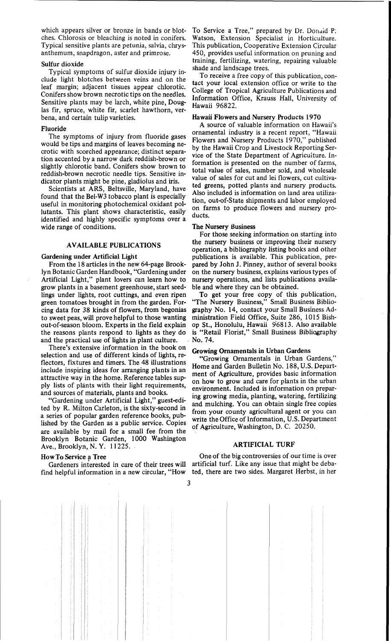which appears silver or bronze in bands or blotches, Chlorosis or bleaching is noted in conifers, Typical sensitive plants are petunia, salvia, chrysanthemum, snapdragon, aster and primrose,

# Sulfur dioxide

Typical symptoms of sulfur dioxide injury include light blotches between veins and on the leaf margin; adjacent tissues appear chlorotic. Conifers show brown necrotic tips on the needles. Sensitive plants may be larch, white pine, Douglas fir, spruce, white fir, scarlet hawthorn, verbena, and certain tulip varieties.

# Fluoride

The symptoms of injury from fluoride gases would be tips and margins of leaves becoming necrotic with scorched appearance; distinct separation accented by a narrow dark reddish-brown or slightly chlorotic band. Conifers show brown to reddish-brown necrotic needle tips, Sensitive indicator plants might be pine, gladiolus and iris.

Scientists at ARS, Beltsville, Maryland, have found that the Bel-W3 tobacco plant is especially useful in monitoring photochemical oxidant pollutants. This plant shows characteristic, easily identified and highly specific symptoms over a wide range of conditions,

# AVAILABLE PUBLICATIONS

Artificial Light," plant lovers can learn how to nursery operations, and lists publications availagrow plants in a basement greenhouse, start seed- ble and where they can be obtained. grow plants in a basement greenhouse, start seed- ble and where they can be obtained.<br>lings under lights, root cuttings, and even ripen To get your free copy of this publication, lings under lights, root cuttings, and even ripen green tomatoes brought in from the garden. For- "The Nursery Business," Small Business Bibliocing data for 38 kinds of flowers, from begonias graphy No. 14, contact your Small Business Adto sweet peas, will prove helpful to those wanting ministration Field Office, Suite 286, 1015 Bish-<br>out-of-season bloom. Experts in the field explain op St., Honolulu, Hawaii 96813. Also available the reasons plants respond to lights as they do and the practical use of lights in plant culture. No. 74.

There's extensive information in the book on  $G$ rowing Ornamentals in Urban Gardens In the practical use of lights in plant culture.<br>
There's extensive information in the book on<br>
selection and use of different kinds of lights, re-<br>
"Growing Ornamentals in Urban Gardens," flectors, fixtures and timers. The 48 illustrations There's extensive information in the book on<br>selection and use of different kinds of lights, re-<br>flectors, fixtures and timers. The 48 illustrations<br>include inspiring ideas for arranging plants in an<br>ment of Agriculture, p attractive way in the home. Reference tables sup-<br>ply lists of plants with their light requirements, on how to grow and care for plants<br>environment. Included is informational ply lists of plants with their light requirements,

ted by R. Milton Carleton, is the sixty-second in<br>a series of popular garden reference books, pub-<br>lished by the Garden as a public service. Copies<br>of Agriculture Weshington, D.C. 20250 lished by the Garden as a public service. Copies will be included information, 0.3. Department<br>are available by mail for a small fee from the of Agriculture, Washington, D. C. 20250. Brooklyn Botanic Garden, 1000 Washington Ave., Brooklyn, N. Y. 11225.

find helpful information in a new circular, "How ted, there are two sides. Margaret Herbst, in her

To Service a Tree," prepared by Dr. Donald P. Watson, Extension Specialist in Horticulture. This publication, Cooperative Extension Circular 450, provides useful information on pruning and training, fertilizing, watering, repairing valuable shade and landscape trees.

To receive a free copy of this publication, contact your local extension office or write to the College of Tropical Agriculture Publications and Information Office, Krauss Hall, University of Hawaii 96822,

# Hawaii Flowers and Nursery Products 1970

A source of valuable information on Hawaii's ornamental industry is a recent report, "Hawaii Flowers and Nursery Products 1970," published by the Hawaii Crop and Livestock Reporting Service of the State Department of Agriculture. Information is presented on the number of farms, total value of sales, number sold, and wholesale value of sales for cut and lei flowers, cut cultivated greens, potted plants and nursery products. Also included is information on land area utilization, out-of-State shipments and labor employed on farms to produce flowers and nursery products.

## The Nursery Business

For those seeking information on starting into the nursery business or improving their nursery operation, a bibliography listing books and other Gardening under Artificial Light publications is available. This publication, pre-From the 18 articles in the new 64-page Brook- pared by John J. Pinney, author of several books lyn Botanic Garden Handbook, "Gardening under on the nursery business, explains various types of on the nursery business, explains various types of

op St., Honolulu, Hawaii 96813. Also available<br>is "Retail Florist," Small Business Bibliography

include inspiring ideas for arranging plants in an<br>attractive way in the home. Reference tables sup-<br>the set of plants in the urban<br>on how to grow and care for plants in the urban on how to grow and care for plants in the urban environment. Included is information on preparattractive way in the home. Reference tables sup-<br>ply lists of plants with their light requirements,<br>and sources of materials, plants and books.<br>"Gardening under Artificial Light," guest-edi-<br>ted by R. Milton Carleton, is

How To Service a Tree The Service a Tree Christian Christian Christian Christian Christian Christian Christian Christian Christian Christian Christian Christian Christian Christian Christian Christian Christian Christian C Gardeners interested in care of their trees will artificial turf, Like any issue that might be deba-

3